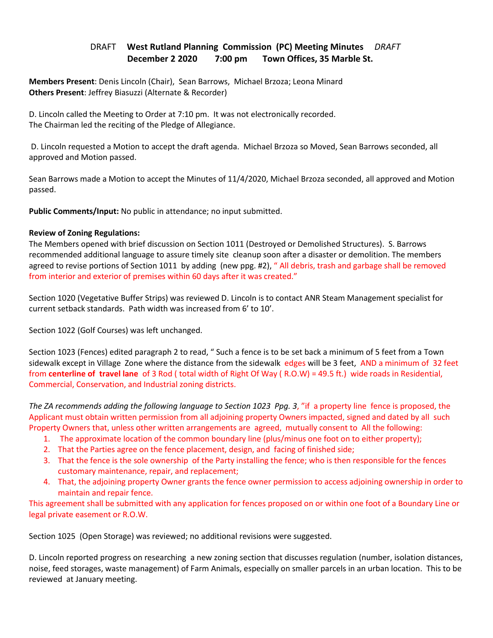## DRAFT **West Rutland Planning Commission (PC) Meeting Minutes** *DRAFT*   **December 2 2020 7:00 pm Town Offices, 35 Marble St.**

**Members Present**: Denis Lincoln (Chair), Sean Barrows, Michael Brzoza; Leona Minard **Others Present**: Jeffrey Biasuzzi (Alternate & Recorder)

D. Lincoln called the Meeting to Order at 7:10 pm. It was not electronically recorded. The Chairman led the reciting of the Pledge of Allegiance.

 D. Lincoln requested a Motion to accept the draft agenda. Michael Brzoza so Moved, Sean Barrows seconded, all approved and Motion passed.

Sean Barrows made a Motion to accept the Minutes of 11/4/2020, Michael Brzoza seconded, all approved and Motion passed.

**Public Comments/Input:** No public in attendance; no input submitted.

## **Review of Zoning Regulations:**

The Members opened with brief discussion on Section 1011 (Destroyed or Demolished Structures). S. Barrows recommended additional language to assure timely site cleanup soon after a disaster or demolition. The members agreed to revise portions of Section 1011 by adding (new ppg. #2), " All debris, trash and garbage shall be removed from interior and exterior of premises within 60 days after it was created."

Section 1020 (Vegetative Buffer Strips) was reviewed D. Lincoln is to contact ANR Steam Management specialist for current setback standards. Path width was increased from 6' to 10'.

Section 1022 (Golf Courses) was left unchanged.

Section 1023 (Fences) edited paragraph 2 to read, " Such a fence is to be set back a minimum of 5 feet from a Town sidewalk except in Village Zone where the distance from the sidewalk edges will be 3 feet, AND a minimum of 32 feet from **centerline of travel lane** of 3 Rod ( total width of Right Of Way ( R.O.W) = 49.5 ft.) wide roads in Residential, Commercial, Conservation, and Industrial zoning districts.

*The ZA recommends adding the following language to Section 1023 Ppg. 3*, "if a property line fence is proposed, the Applicant must obtain written permission from all adjoining property Owners impacted, signed and dated by all such Property Owners that, unless other written arrangements are agreed, mutually consent to All the following:

- 1. The approximate location of the common boundary line (plus/minus one foot on to either property);
- 2. That the Parties agree on the fence placement, design, and facing of finished side;
- 3. That the fence is the sole ownership of the Party installing the fence; who is then responsible for the fences customary maintenance, repair, and replacement;
- 4. That, the adjoining property Owner grants the fence owner permission to access adjoining ownership in order to maintain and repair fence.

This agreement shall be submitted with any application for fences proposed on or within one foot of a Boundary Line or legal private easement or R.O.W.

Section 1025 (Open Storage) was reviewed; no additional revisions were suggested.

D. Lincoln reported progress on researching a new zoning section that discusses regulation (number, isolation distances, noise, feed storages, waste management) of Farm Animals, especially on smaller parcels in an urban location. This to be reviewed at January meeting.